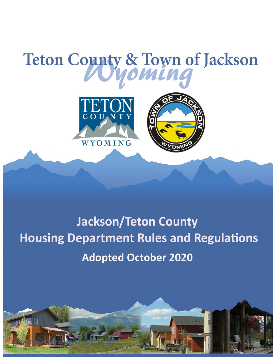# Teton County & Town of Jackson





# **Jackson/Teton County Housing Department Rules and Regulations Adopted October 2020**

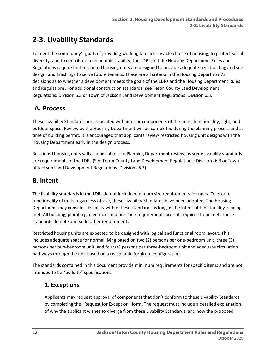# **2-3. Livability Standards**

To meet the community's goals of providing working families a viable choice of housing, to protect social diversity, and to contribute to economic stability, the LDRs and the Housing Department Rules and Regulations require that restricted housing units are designed to provide adequate size, building and site design, and finishings to serve future tenants. These are all criteria in the Housing Department's decisions as to whether a development meets the goals of the LDRs and the Housing Department Rules and Regulations. For additional construction standards, see Teton County Land Development Regulations: Division 6.3 or Town of Jackson Land Development Regulations: Division 6.3.

# **A. Process**

These Livability Standards are associated with interior components of the units, functionality, light, and outdoor space. Review by the Housing Department will be completed during the planning process and at time of building permit. It is encouraged that applicants review restricted housing unit designs with the Housing Department early in the design process.

Restricted housing units will also be subject to Planning Department review, as some livability standards are requirements of the LDRs (See Teton County Land Development Regulations: Divisions 6.3 or Town of Jackson Land Development Regulations: Divisions 6.3).

# **B. Intent**

The livability standards in the LDRs do not include minimum size requirements for units. To ensure functionality of units regardless of size, these Livability Standards have been adopted. The Housing Department may consider flexibility within these standards as long as the intent of functionality is being met. All building, plumbing, electrical, and fire code requirements are still required to be met. These standards do not supersede other requirements.

Restricted housing units are expected to be designed with logical and functional room layout. This includes adequate space for normal living based on two (2) persons per one-bedroom unit, three (3) persons per two-bedroom unit, and four (4) persons per three-bedroom unit and adequate circulation pathways through the unit based on a reasonable furniture configuration.

The standards contained in this document provide minimum requirements for specific items and are not intended to be "build to" specifications.

# **1. Exceptions**

Applicants may request approval of components that don't conform to these Livability Standards by completing the "Request for Exception" form. The request must include a detailed explanation of why the applicant wishes to diverge from these Livability Standards, and how the proposed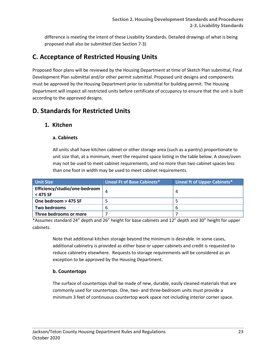difference is meeting the intent of these Livability Standards. Detailed drawings of what is being proposed shall also be submitted (See Section 7-3)

# **C. Acceptance of Restricted Housing Units**

Proposed floor plans will be reviewed by the Housing Department at time of Sketch Plan submittal, Final Development Plan submittal and/or other permit submittal. Proposed unit designs and components must be approved by the Housing Department prior to submittal for building permit. The Housing Department will inspect all restricted units before certificate of occupancy to ensure that the unit is built according to the approved designs.

# **D. Standards for Restricted Units**

#### **1. Kitchen**

#### **a. Cabinets**

All units shall have kitchen cabinet or other storage area (such as a pantry) proportionate to unit size that, at a minimum, meet the required space listing in the table below. A stove/oven may not be used to meet cabinet requirements, and no more than two cabinet spaces less than one foot in width may be used to meet cabinet requirements.

| <b>Unit Size</b>                          | Lineal Ft of Base Cabinets* | Lineal ft of Upper Cabinets* |
|-------------------------------------------|-----------------------------|------------------------------|
| Efficiency/studio/one-bedroom<br>< 475 SF | 4                           |                              |
| One bedroom > 475 SF                      |                             |                              |
| Two bedrooms                              | b                           |                              |
| Three bedrooms or more                    |                             |                              |

\*Assumes standard 24" depth and 26" height for base cabinets and 12" depth and 30" height for upper cabinets.

Note that additional kitchen storage beyond the minimum is desirable. In some cases, additional cabinetry is provided as either base or upper cabinets and credit is requested to reduce cabinetry elsewhere. Requests to storage requirements will be considered as an exception to be approved by the Housing Department.

#### **b. Countertops**

The surface of countertops shall be made of new, durable, easily cleaned materials that are commonly used for countertops. One, two- and three-bedroom units must provide a minimum 3 feet of continuous countertop work space not including interior corner space.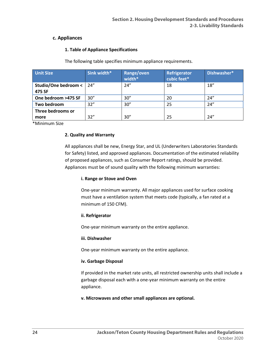#### **c. Appliances**

#### **1. Table of Appliance Specifications**

The following table specifies minimum appliance requirements.

| <b>Unit Size</b>                     | Sink width* | Range/oven<br>width* | Refrigerator<br>cubic feet* | Dishwasher* |
|--------------------------------------|-------------|----------------------|-----------------------------|-------------|
| Studio/One bedroom <   24"<br>475 SF |             | 24''                 | 18                          | 18''        |
| One bedroom >475 SF                  | 30''        | 30''                 | 20                          | 24''        |
| Two bedroom                          | 32"         | 30''                 | 25                          | 24''        |
| Three bedrooms or<br>more            | 32"         | 30''                 | 25                          | 24''        |

\*Minimum Size

#### **2. Quality and Warranty**

All appliances shall be new, Energy Star, and UL (Underwriters Laboratories Standards for Safety) listed, and approved appliances. Documentation of the estimated reliability of proposed appliances, such as Consumer Report ratings, should be provided. Appliances must be of sound quality with the following minimum warranties:

#### **i. Range or Stove and Oven**

One-year minimum warranty. All major appliances used for surface cooking must have a ventilation system that meets code (typically, a fan rated at a minimum of 150 CFM).

#### **ii. Refrigerator**

One-year minimum warranty on the entire appliance.

#### **iii. Dishwasher**

One-year minimum warranty on the entire appliance.

#### **iv. Garbage Disposal**

If provided in the market rate units, all restricted ownership units shall include a garbage disposal each with a one-year minimum warranty on the entire appliance.

#### **v. Microwaves and other small appliances are optional.**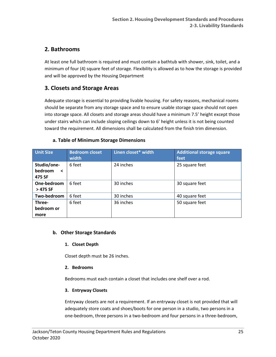# **2. Bathrooms**

At least one full bathroom is required and must contain a bathtub with shower, sink, toilet, and a minimum of four (4) square feet of storage. Flexibility is allowed as to how the storage is provided and will be approved by the Housing Department

# **3. Closets and Storage Areas**

Adequate storage is essential to providing livable housing. For safety reasons, mechanical rooms should be separate from any storage space and to ensure usable storage space should not open into storage space. All closets and storage areas should have a minimum 7.5' height except those under stairs which can include sloping ceilings down to 6' height unless it is not being counted toward the requirement. All dimensions shall be calculated from the finish trim dimension.

|  |  |  | a. Table of Minimum Storage Dimensions |
|--|--|--|----------------------------------------|
|  |  |  |                                        |

| <b>Unit Size</b>                            | <b>Bedroom closet</b><br>width | Linen closet* width | <b>Additional storage square</b><br>feet |
|---------------------------------------------|--------------------------------|---------------------|------------------------------------------|
| Studio/one-<br>bedroom<br>$\prec$<br>475 SF | 6 feet                         | 24 inches           | 25 square feet                           |
| One-bedroom<br>> 475 SF                     | 6 feet                         | 30 inches           | 30 square feet                           |
| Two-bedroom                                 | 6 feet                         | 30 inches           | 40 square feet                           |
| Three-<br>bedroom or<br>more                | 6 feet                         | 36 inches           | 50 square feet                           |

#### **b. Other Storage Standards**

#### **1. Closet Depth**

Closet depth must be 26 inches.

#### **2. Bedrooms**

Bedrooms must each contain a closet that includes one shelf over a rod.

#### **3. Entryway Closets**

Entryway closets are not a requirement. If an entryway closet is not provided that will adequately store coats and shoes/boots for one person in a studio, two persons in a one-bedroom, three persons in a two-bedroom and four persons in a three-bedroom,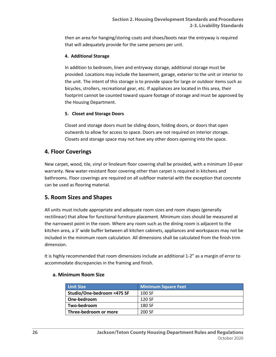then an area for hanging/storing coats and shoes/boots near the entryway is required that will adequately provide for the same persons per unit.

#### **4. Additional Storage**

In addition to bedroom, linen and entryway storage, additional storage must be provided. Locations may include the basement, garage, exterior to the unit or interior to the unit. The intent of this storage is to provide space for large or outdoor items such as bicycles, strollers, recreational gear, etc. If appliances are located in this area, their footprint cannot be counted toward square footage of storage and must be approved by the Housing Department.

#### **5. Closet and Storage Doors**

Closet and storage doors must be sliding doors, folding doors, or doors that open outwards to allow for access to space. Doors are not required on interior storage. Closets and storage space may not have any other doors opening into the space.

#### **4. Floor Coverings**

New carpet, wood, tile, vinyl or linoleum floor covering shall be provided, with a minimum 10-year warranty. New water-resistant floor covering other than carpet is required in kitchens and bathrooms. Floor coverings are required on all subfloor material with the exception that concrete can be used as flooring material.

#### **5. Room Sizes and Shapes**

All units must include appropriate and adequate room sizes and room shapes (generally rectilinear) that allow for functional furniture placement. Minimum sizes should be measured at the narrowest point in the room. Where any room such as the dining room is adjacent to the kitchen area, a 3' wide buffer between all kitchen cabinets, appliances and workspaces may not be included in the minimum room calculation. All dimensions shall be calculated from the finish trim dimension.

It is highly recommended that room dimensions include an additional 1-2" as a margin of error to accommodate discrepancies in the framing and finish.

#### **a. Minimum Room Size**

| <b>Unit Size</b>           | <b>Minimum Square Feet</b> |
|----------------------------|----------------------------|
| Studio/One-bedroom <475 SF | 100 SF                     |
| One-bedroom                | 120 SF                     |
| Two-bedroom                | 180 SF                     |
| Three-bedroom or more      | 200 SF                     |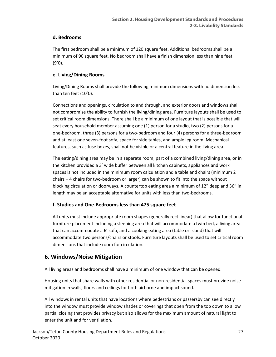#### **d. Bedrooms**

The first bedroom shall be a minimum of 120 square feet. Additional bedrooms shall be a minimum of 90 square feet. No bedroom shall have a finish dimension less than nine feet (9'0).

#### **e. Living/Dining Rooms**

Living/Dining Rooms shall provide the following minimum dimensions with no dimension less than ten feet (10'0).

Connections and openings, circulation to and through, and exterior doors and windows shall not compromise the ability to furnish the living/dining area. Furniture layouts shall be used to set critical room dimensions. There shall be a minimum of one layout that is possible that will seat every household member assuming one (1) person for a studio, two (2) persons for a one-bedroom, three (3) persons for a two-bedroom and four (4) persons for a three-bedroom and at least one seven-foot sofa, space for side tables, and ample leg room. Mechanical features, such as fuse boxes, shall not be visible or a central feature in the living area.

The eating/dining area may be in a separate room, part of a combined living/dining area, or in the kitchen provided a 3' wide buffer between all kitchen cabinets, appliances and work spaces is not included in the minimum room calculation and a table and chairs (minimum 2 chairs – 4 chairs for two-bedroom or larger) can be shown to fit into the space without blocking circulation or doorways. A countertop eating area a minimum of 12" deep and 36" in length may be an acceptable alternative for units with less than two-bedrooms.

#### **f. Studios and One-Bedrooms less than 475 square feet**

All units must include appropriate room shapes (generally rectilinear) that allow for functional furniture placement including a sleeping area that will accommodate a twin bed, a living area that can accommodate a 6' sofa, and a cooking eating area (table or island) that will accommodate two persons/chairs or stools. Furniture layouts shall be used to set critical room dimensions that include room for circulation.

# **6. Windows/Noise Mitigation**

All living areas and bedrooms shall have a minimum of one window that can be opened.

Housing units that share walls with other residential or non-residential spaces must provide noise mitigation in walls, floors and ceilings for both airborne and impact sound.

All windows in rental units that have locations where pedestrians or passersby can see directly into the window must provide window shades or coverings that open from the top down to allow partial closing that provides privacy but also allows for the maximum amount of natural light to enter the unit and for ventilation.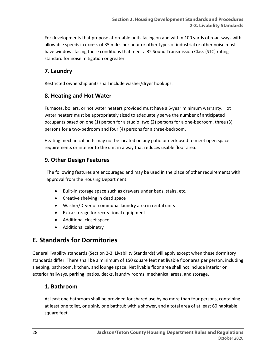For developments that propose affordable units facing on and within 100 yards of road-ways with allowable speeds in excess of 35 miles per hour or other types of industrial or other noise must have windows facing these conditions that meet a 32 Sound Transmission Class (STC) rating standard for noise mitigation or greater.

# **7. Laundry**

Restricted ownership units shall include washer/dryer hookups.

# **8. Heating and Hot Water**

Furnaces, boilers, or hot water heaters provided must have a 5-year minimum warranty. Hot water heaters must be appropriately sized to adequately serve the number of anticipated occupants based on one (1) person for a studio, two (2) persons for a one-bedroom, three (3) persons for a two-bedroom and four (4) persons for a three-bedroom.

Heating mechanical units may not be located on any patio or deck used to meet open space requirements or interior to the unit in a way that reduces usable floor area.

# **9. Other Design Features**

The following features are encouraged and may be used in the place of other requirements with approval from the Housing Department:

- Built-in storage space such as drawers under beds, stairs, etc.
- Creative shelving in dead space
- Washer/Dryer or communal laundry area in rental units
- Extra storage for recreational equipment
- Additional closet space
- Additional cabinetry

# **E. Standards for Dormitories**

General livability standards (Section 2-3. Livability Standards) will apply except when these dormitory standards differ. There shall be a minimum of 150 square feet net livable floor area per person, including sleeping, bathroom, kitchen, and lounge space. Net livable floor area shall not include interior or exterior hallways, parking, patios, decks, laundry rooms, mechanical areas, and storage.

# **1. Bathroom**

At least one bathroom shall be provided for shared use by no more than four persons, containing at least one toilet, one sink, one bathtub with a shower, and a total area of at least 60 habitable square feet.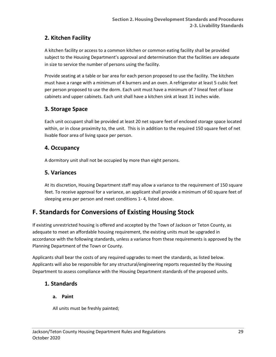# **2. Kitchen Facility**

A kitchen facility or access to a common kitchen or common eating facility shall be provided subject to the Housing Department's approval and determination that the facilities are adequate in size to service the number of persons using the facility.

Provide seating at a table or bar area for each person proposed to use the facility. The kitchen must have a range with a minimum of 4 burners and an oven. A refrigerator at least 5 cubic feet per person proposed to use the dorm. Each unit must have a minimum of 7 lineal feet of base cabinets and upper cabinets. Each unit shall have a kitchen sink at least 31 inches wide.

# **3. Storage Space**

Each unit occupant shall be provided at least 20 net square feet of enclosed storage space located within, or in close proximity to, the unit. This is in addition to the required 150 square feet of net livable floor area of living space per person.

# **4. Occupancy**

A dormitory unit shall not be occupied by more than eight persons.

# **5. Variances**

At its discretion, Housing Department staff may allow a variance to the requirement of 150 square feet. To receive approval for a variance, an applicant shall provide a minimum of 60 square feet of sleeping area per person and meet conditions 1- 4, listed above.

# **F. Standards for Conversions of Existing Housing Stock**

If existing unrestricted housing is offered and accepted by the Town of Jackson or Teton County, as adequate to meet an affordable housing requirement, the existing units must be upgraded in accordance with the following standards, unless a variance from these requirements is approved by the Planning Department of the Town or County.

Applicants shall bear the costs of any required upgrades to meet the standards, as listed below. Applicants will also be responsible for any structural/engineering reports requested by the Housing Department to assess compliance with the Housing Department standards of the proposed units.

# **1. Standards**

# **a. Paint**

All units must be freshly painted;